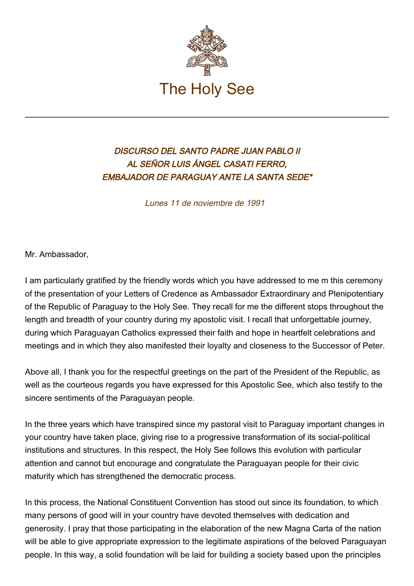

## DISCURSO DEL SANTO PADRE JUAN PABLO II AL SEÑOR LUIS ÁNGEL CASATI FERRO, EMBAJADOR DE PARAGUAY ANTE LA SANTA SEDE\*

Lunes 11 de noviembre de 1991

Mr. Ambassador,

I am particularly gratified by the friendly words which you have addressed to me m this ceremony of the presentation of your Letters of Credence as Ambassador Extraordinary and Plenipotentiary of the Republic of Paraguay to the Holy See. They recall for me the different stops throughout the length and breadth of your country during my apostolic visit. I recall that unforgettable journey, during which Paraguayan Catholics expressed their faith and hope in heartfelt celebrations and meetings and in which they also manifested their loyalty and closeness to the Successor of Peter.

Above all, I thank you for the respectful greetings on the part of the President of the Republic, as well as the courteous regards you have expressed for this Apostolic See, which also testify to the sincere sentiments of the Paraguayan people.

In the three years which have transpired since my pastoral visit to Paraguay important changes in your country have taken place, giving rise to a progressive transformation of its social-political institutions and structures. In this respect, the Holy See follows this evolution with particular attention and cannot but encourage and congratulate the Paraguayan people for their civic maturity which has strengthened the democratic process.

In this process, the National Constituent Convention has stood out since its foundation, to which many persons of good will in your country have devoted themselves with dedication and generosity. I pray that those participating in the elaboration of the new Magna Carta of the nation will be able to give appropriate expression to the legitimate aspirations of the beloved Paraguayan people. In this way, a solid foundation will be laid for building a society based upon the principles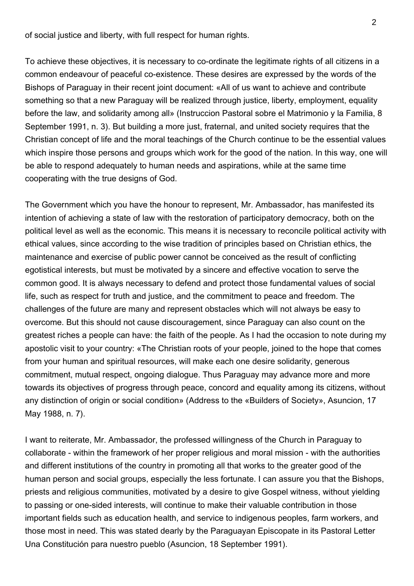of social justice and liberty, with full respect for human rights.

To achieve these objectives, it is necessary to co-ordinate the legitimate rights of all citizens in a common endeavour of peaceful co‑existence. These desires are expressed by the words of the Bishops of Paraguay in their recent joint document: «All of us want to achieve and contribute something so that a new Paraguay will be realized through justice, liberty, employment, equality before the law, and solidarity among all» (Instruccion Pastoral sobre el Matrimonio y la Familia, 8 September 1991, n. 3). But building a more just, fraternal, and united society requires that the Christian concept of life and the moral teachings of the Church continue to be the essential values which inspire those persons and groups which work for the good of the nation. In this way, one will be able to respond adequately to human needs and aspirations, while at the same time cooperating with the true designs of God.

The Government which you have the honour to represent, Mr. Ambassador, has manifested its intention of achieving a state of law with the restoration of participatory democracy, both on the political level as well as the economic. This means it is necessary to reconcile political activity with ethical values, since according to the wise tradition of principles based on Christian ethics, the maintenance and exercise of public power cannot be conceived as the result of conflicting egotistical interests, but must be motivated by a sincere and effective vocation to serve the common good. It is always necessary to defend and protect those fundamental values of social life, such as respect for truth and justice, and the commitment to peace and freedom. The challenges of the future are many and represent obstacles which will not always be easy to overcome. But this should not cause discouragement, since Paraguay can also count on the greatest riches a people can have: the faith of the people. As I had the occasion to note during my apostolic visit to your country: «The Christian roots of your people, joined to the hope that comes from your human and spiritual resources, will make each one desire solidarity, generous commitment, mutual respect, ongoing dialogue. Thus Paraguay may advance more and more towards its objectives of progress through peace, concord and equality among its citizens, without any distinction of origin or social condition» (Address to the «Builders of Society», Asuncion, 17 May 1988, n. 7).

I want to reiterate, Mr. Ambassador, the professed willingness of the Church in Paraguay to collaborate - within the framework of her proper religious and moral mission - with the authorities and different institutions of the country in promoting all that works to the greater good of the human person and social groups, especially the less fortunate. I can assure you that the Bishops, priests and religious communities, motivated by a desire to give Gospel witness, without yielding to passing or one-sided interests, will continue to make their valuable contribution in those important fields such as education health, and service to indigenous peoples, farm workers, and those most in need. This was stated dearly by the Paraguayan Episcopate in its Pastoral Letter Una Constitución para nuestro pueblo (Asuncion, 18 September 1991).